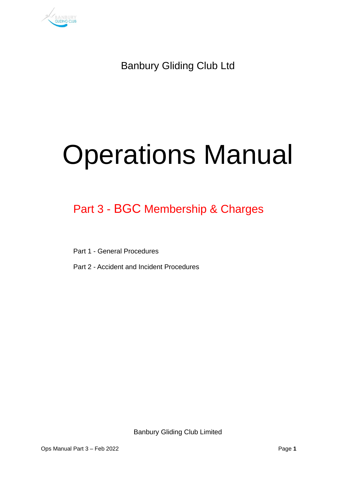

Banbury Gliding Club Ltd

# Operations Manual

## Part 3 - BGC Membership & Charges

Part 1 - General Procedures

Part 2 - Accident and Incident Procedures

Banbury Gliding Club Limited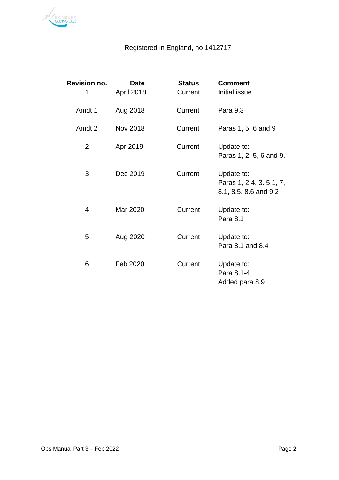

### Registered in England, no 1412717

| <b>Revision no.</b><br>1 | <b>Date</b><br>April 2018 | <b>Status</b><br>Current | <b>Comment</b><br>Initial issue                                 |
|--------------------------|---------------------------|--------------------------|-----------------------------------------------------------------|
| Amdt 1                   | Aug 2018                  | Current                  | Para 9.3                                                        |
| Amdt 2                   | Nov 2018                  | Current                  | Paras 1, 5, 6 and 9                                             |
| $\overline{2}$           | Apr 2019                  | Current                  | Update to:<br>Paras 1, 2, 5, 6 and 9.                           |
| 3                        | Dec 2019                  | Current                  | Update to:<br>Paras 1, 2.4, 3. 5.1, 7,<br>8.1, 8.5, 8.6 and 9.2 |
| 4                        | Mar 2020                  | Current                  | Update to:<br>Para 8.1                                          |
| 5                        | Aug 2020                  | Current                  | Update to:<br>Para 8.1 and 8.4                                  |
| 6                        | Feb 2020                  | Current                  | Update to:<br>Para 8.1-4<br>Added para 8.9                      |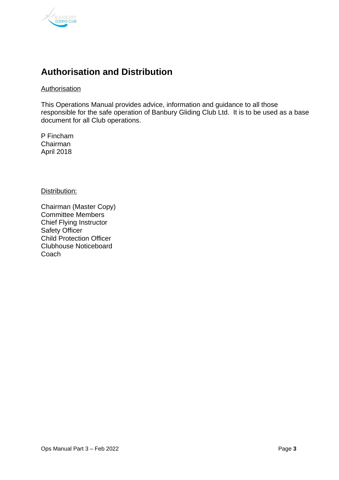

## <span id="page-2-0"></span>**Authorisation and Distribution**

Authorisation

This Operations Manual provides advice, information and guidance to all those responsible for the safe operation of Banbury Gliding Club Ltd. It is to be used as a base document for all Club operations.

P Fincham Chairman April 2018

Distribution:

Chairman (Master Copy) Committee Members Chief Flying Instructor Safety Officer Child Protection Officer Clubhouse Noticeboard Coach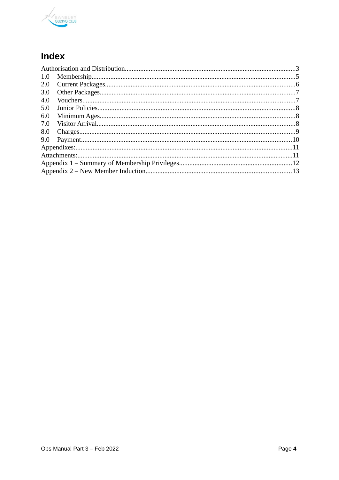

## Index

| 1.0 |  |  |
|-----|--|--|
| 2.0 |  |  |
| 3.0 |  |  |
| 4.0 |  |  |
| 5.0 |  |  |
| 6.0 |  |  |
| 7.0 |  |  |
| 8.0 |  |  |
| 9.0 |  |  |
|     |  |  |
|     |  |  |
|     |  |  |
|     |  |  |
|     |  |  |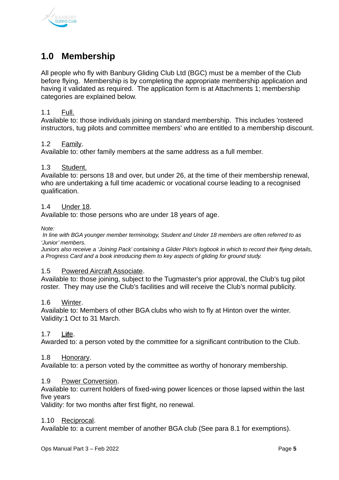

## <span id="page-4-0"></span>**1.0 Membership**

All people who fly with Banbury Gliding Club Ltd (BGC) must be a member of the Club before flying. Membership is by completing the appropriate membership application and having it validated as required. The application form is at Attachments 1; membership categories are explained below.

#### 1.1 Full.

Available to: those individuals joining on standard membership. This includes 'rostered instructors, tug pilots and committee members' who are entitled to a membership discount.

#### 1.2 Family.

Available to: other family members at the same address as a full member.

#### 1.3 Student.

Available to: persons 18 and over, but under 26, at the time of their membership renewal, who are undertaking a full time academic or vocational course leading to a recognised qualification.

#### 1.4 Under 18.

Available to: those persons who are under 18 years of age.

*Note:*

 *In line with BGA younger member terminology, Student and Under 18 members are often referred to as 'Junior' members.*

*Juniors also receive a 'Joining Pack' containing a Glider Pilot's logbook in which to record their flying details, a Progress Card and a book introducing them to key aspects of gliding for ground study.*

#### 1.5 Powered Aircraft Associate.

Available to: those joining, subject to the Tugmaster's prior approval, the Club's tug pilot roster. They may use the Club's facilities and will receive the Club's normal publicity.

#### 1.6 Winter.

Available to: Members of other BGA clubs who wish to fly at Hinton over the winter. Validity:1 Oct to 31 March.

#### 1.7 L **if** e.

Awarded to: a person voted by the committee for a significant contribution to the Club.

#### 1.8 Honorary.

Available to: a person voted by the committee as worthy of honorary membership.

#### 1.9 Power Conversion.

Available to: current holders of fixed-wing power licences or those lapsed within the last five years

Validity: for two months after first flight, no renewal.

#### 1.10 Reciprocal.

Available to: a current member of another BGA club (See para 8.1 for exemptions).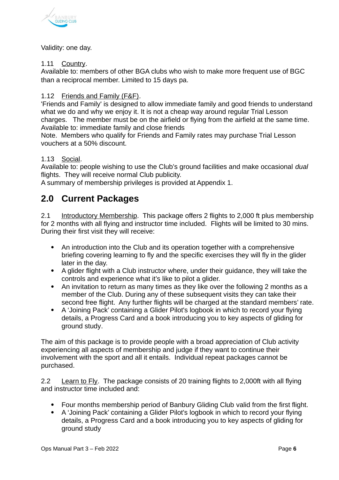

#### Validity: one day.

#### 1.11 Country.

Available to: members of other BGA clubs who wish to make more frequent use of BGC than a reciprocal member. Limited to 15 days pa.

#### 1.12 Friends and Family (F&F).

'Friends and Family' is designed to allow immediate family and good friends to understand what we do and why we enjoy it. It is not a cheap way around regular Trial Lesson charges. The member must be on the airfield or flying from the airfield at the same time. Available to: immediate family and close friends

Note. Members who qualify for Friends and Family rates may purchase Trial Lesson vouchers at a 50% discount.

#### 1.13 Social.

Available to: people wishing to use the Club's ground facilities and make occasional *dual* flights. They will receive normal Club publicity.

A summary of membership privileges is provided at Appendix 1.

## <span id="page-5-0"></span>**2.0 Current Packages**

2.1 Introductory Membership. This package offers 2 flights to 2,000 ft plus membership for 2 months with all flying and instructor time included. Flights will be limited to 30 mins. During their first visit they will receive:

- An introduction into the Club and its operation together with a comprehensive briefing covering learning to fly and the specific exercises they will fly in the glider later in the day.
- A glider flight with a Club instructor where, under their guidance, they will take the controls and experience what it's like to pilot a glider.
- An invitation to return as many times as they like over the following 2 months as a member of the Club. During any of these subsequent visits they can take their second free flight. Any further flights will be charged at the standard members' rate.
- A 'Joining Pack' containing a Glider Pilot's logbook in which to record your flying details, a Progress Card and a book introducing you to key aspects of gliding for ground study.

The aim of this package is to provide people with a broad appreciation of Club activity experiencing all aspects of membership and judge if they want to continue their involvement with the sport and all it entails. Individual repeat packages cannot be purchased.

2.2 Learn to Fly. The package consists of 20 training flights to 2,000ft with all flying and instructor time included and:

- Four months membership period of Banbury Gliding Club valid from the first flight.
- A 'Joining Pack' containing a Glider Pilot's logbook in which to record your flying details, a Progress Card and a book introducing you to key aspects of gliding for ground study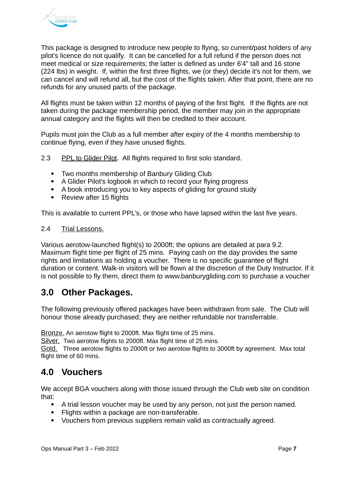

This package is designed to introduce new people to flying, so current/past holders of any pilot's licence do not qualify. It can be cancelled for a full refund if the person does not meet medical or size requirements; the latter is defined as under 6'4" tall and 16 stone (224 lbs) in weight. If, within the first three flights, we (or they) decide it's not for them, we can cancel and will refund all, but the cost of the flights taken. After that point, there are no refunds for any unused parts of the package.

All flights must be taken within 12 months of paying of the first flight. If the flights are not taken during the package membership period, the member may join in the appropriate annual category and the flights will then be credited to their account.

Pupils must join the Club as a full member after expiry of the 4 months membership to continue flying, even if they have unused flights.

2.3 PPL to Glider Pilot. All flights required to first solo standard.

- Two months membership of Banbury Gliding Club
- A Glider Pilot's logbook in which to record your flying progress
- A book introducing you to key aspects of gliding for ground study
- Review after 15 flights

This is available to current PPL's, or those who have lapsed within the last five years.

#### 2.4 Trial Lessons.

Various aerotow-launched flight(s) to 2000ft; the options are detailed at para 9.2. Maximum flight time per flight of 25 mins. Paying cash on the day provides the same rights and limitations as holding a voucher. There is no specific guarantee of flight duration or content. Walk-in visitors will be flown at the discretion of the Duty Instructor. If it is not possible to fly them, direct them to [www.banburygliding.com](http://www.banburygliding.com/) to purchase a voucher

## <span id="page-6-1"></span>**3.0 Other Packages.**

The following previously offered packages have been withdrawn from sale. The Club will honour those already purchased; they are neither refundable nor transferrable.

Bronze. An aerotow flight to 2000ft. Max flight time of 25 mins.

Silver. Two aerotow flights to 2000ft. Max flight time of 25 mins.

Gold. Three aerotow flights to 2000ft or two aerotow flights to 3000ft by agreement. Max total flight time of 60 mins.

## <span id="page-6-0"></span>**4.0 Vouchers**

We accept BGA vouchers along with those issued through the Club web site on condition that:

- A trial lesson voucher may be used by any person, not just the person named.
- Flights within a package are non-transferable.
- Vouchers from previous suppliers remain valid as contractually agreed.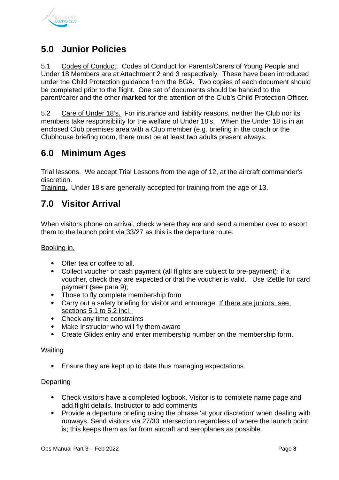

## <span id="page-7-2"></span>**5.0 Junior Policies**

5.1 Codes of Conduct. Codes of Conduct for Parents/Carers of Young People and Under 18 Members are at Attachment 2 and 3 respectively. These have been introduced under the Child Protection guidance from the BGA. Two copies of each document should be completed prior to the flight. One set of documents should be handed to the parent/carer and the other **marked** for the attention of the Club's Child Protection Officer.

5.2 Care of Under 18's. For insurance and liability reasons, neither the Club nor its members take responsibility for the welfare of Under 18's. When the Under 18 is in an enclosed Club premises area with a Club member (e.g. briefing in the coach or the Clubhouse briefing room, there must be at least two adults present always.

## <span id="page-7-1"></span>**6.0 Minimum Ages**

Trial lessons. We accept Trial Lessons from the age of 12, at the aircraft commander's discretion.

Training. Under 18's are generally accepted for training from the age of 13.

## <span id="page-7-0"></span>**7.0 Visitor Arrival**

When visitors phone on arrival, check where they are and send a member over to escort them to the launch point via 33/27 as this is the departure route.

Booking in.

- Offer tea or coffee to all.
- Collect voucher or cash payment (all flights are subject to pre-payment): if a voucher, check they are expected or that the voucher is valid. Use iZettle for card payment (see para 9);
- Those to fly complete membership form
- Carry out a safety briefing for visitor and entourage. If there are juniors, see sections 5.1 to 5.2 incl.
- Check any time constraints
- Make Instructor who will fly them aware
- Create Glidex entry and enter membership number on the membership form.

#### Waiting

Ensure they are kept up to date thus managing expectations.

#### **Departing**

- Check visitors have a completed logbook. Visitor is to complete name page and add flight details. Instructor to add comments
- Provide a departure briefing using the phrase 'at your discretion' when dealing with runways. Send visitors via 27/33 intersection regardless of where the launch point is; this keeps them as far from aircraft and aeroplanes as possible.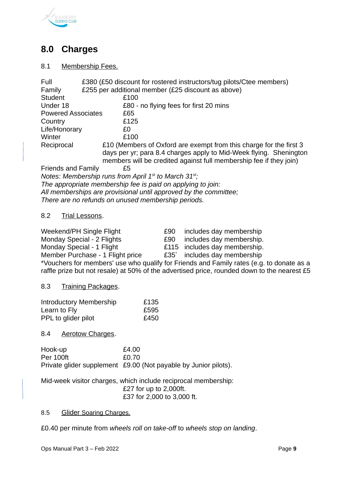

## <span id="page-8-0"></span>**8.0 Charges**

#### 8.1 Membership Fees.

| Full                      | £380 (£50 discount for rostered instructors/tug pilots/Ctee members) |
|---------------------------|----------------------------------------------------------------------|
| Family                    | £255 per additional member (£25 discount as above)                   |
| <b>Student</b>            | £100                                                                 |
| Under 18                  | £80 - no flying fees for first 20 mins                               |
| <b>Powered Associates</b> | £65                                                                  |
| Country                   | £125                                                                 |
| Life/Honorary             | £0                                                                   |
| Winter                    | £100                                                                 |
| Reciprocal                | E10 (Members of Oxford are exempt from this charge for the first 3   |
|                           | days per yr; para 8.4 charges apply to Mid-Week flying. Shenington   |
|                           | members will be credited against full membership fee if they join)   |
| <b>Friends and Family</b> | £5                                                                   |
|                           | Notes: Membership runs from April $1st$ to March $31st$ ;            |

*The appropriate membership fee is paid on applying to join: All memberships are provisional until approved by the committee; There are no refunds on unused membership periods.*

#### 8.2 Trial Lessons.

| Weekend/PH Single Flight         | £90 | includes day membership                  |
|----------------------------------|-----|------------------------------------------|
| Monday Special - 2 Flights       |     | £90 includes day membership.             |
| Monday Special - 1 Flight        |     | £115 includes day membership.            |
| Member Purchase - 1 Flight price |     | £35 <sup>*</sup> includes day membership |

\*Vouchers for members' use who qualify for Friends and Family rates (e.g. to donate as a raffle prize but not resale) at 50% of the advertised price, rounded down to the nearest £5

8.3 Training Packages.

| Introductory Membership | £135 |
|-------------------------|------|
| Learn to Fly            | £595 |
| PPL to glider pilot     | £450 |

#### 8.4 Aerotow Charges.

| Hook-up   | £4.00                                                           |
|-----------|-----------------------------------------------------------------|
| Per 100ft | £0.70                                                           |
|           | Private glider supplement £9.00 (Not payable by Junior pilots). |

Mid-week visitor charges, which include reciprocal membership: £27 for up to 2,000ft. £37 for 2,000 to 3,000 ft.

#### 8.5 Glider Soaring Charges.

£0.40 per minute from *wheels roll on take-off* to *wheels stop on landing*.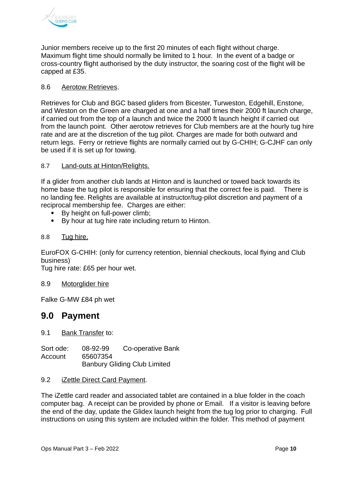

Junior members receive up to the first 20 minutes of each flight without charge. Maximum flight time should normally be limited to 1 hour. In the event of a badge or cross-country flight authorised by the duty instructor, the soaring cost of the flight will be capped at £35.

#### 8.6 Aerotow Retrieves.

Retrieves for Club and BGC based gliders from Bicester, Turweston, Edgehill, Enstone, and Weston on the Green are charged at one and a half times their 2000 ft launch charge, if carried out from the top of a launch and twice the 2000 ft launch height if carried out from the launch point. Other aerotow retrieves for Club members are at the hourly tug hire rate and are at the discretion of the tug pilot. Charges are made for both outward and return legs. Ferry or retrieve flights are normally carried out by G-CHIH; G-CJHF can only be used if it is set up for towing.

#### 8.7 Land-outs at Hinton/Relights.

If a glider from another club lands at Hinton and is launched or towed back towards its home base the tug pilot is responsible for ensuring that the correct fee is paid. There is no landing fee. Relights are available at instructor/tug-pilot discretion and payment of a reciprocal membership fee.Charges are either:

- By height on full-power climb;
- By hour at tug hire rate including return to Hinton.

#### 8.8 Tug hire.

EuroFOX G-CHIH: (only for currency retention, biennial checkouts, local flying and Club business)

Tug hire rate: £65 per hour wet.

#### 8.9 Motorglider hire

Falke G-MW £84 ph wet

#### <span id="page-9-0"></span>**9.0 Payment**

9.1 Bank Transfer to:

Sort ode: 08-92-99 Co-operative Bank Account 65607354 Banbury Gliding Club Limited

#### 9.2 **iZettle Direct Card Payment.**

The iZettle card reader and associated tablet are contained in a blue folder in the coach computer bag. A receipt can be provided by phone or Email. If a visitor is leaving before the end of the day, update the Glidex launch height from the tug log prior to charging. Full instructions on using this system are included within the folder. This method of payment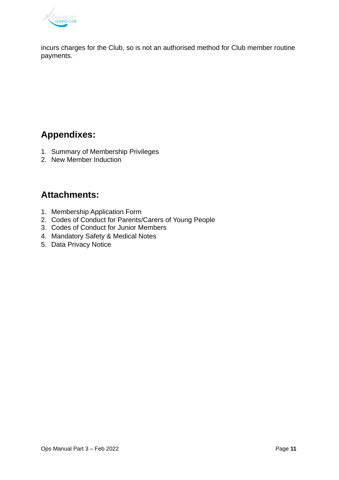

incurs charges for the Club, so is not an authorised method for Club member routine payments.

## <span id="page-10-1"></span>**Appendixes:**

- 1. Summary of Membership Privileges
- 2. New Member Induction

## <span id="page-10-0"></span>**Attachments:**

- 1. Membership Application Form
- 2. Codes of Conduct for Parents/Carers of Young People
- 3. Codes of Conduct for Junior Members
- 4. Mandatory Safety & Medical Notes
- 5. Data Privacy Notice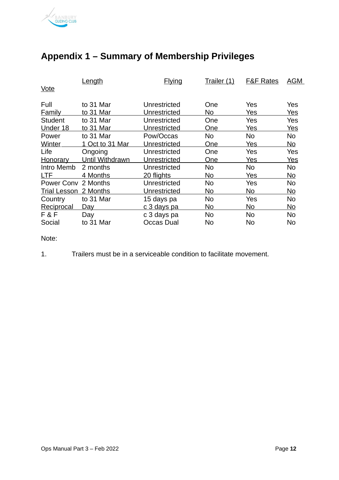

|                     | Length          | <b>Flying</b>     | Trailer (1) | <b>F&amp;F Rates</b> | <b>AGM</b> |
|---------------------|-----------------|-------------------|-------------|----------------------|------------|
| Vote                |                 |                   |             |                      |            |
| Full                | to 31 Mar       | Unrestricted      | One         | Yes                  | Yes        |
| <b>Family</b>       | to 31 Mar       | Unrestricted      | No          | Yes                  | Yes        |
| <b>Student</b>      | to 31 Mar       | Unrestricted      | One         | Yes                  | Yes        |
| Under 18            | to 31 Mar       | Unrestricted      | One         | Yes                  | Yes        |
| Power               | to 31 Mar       | Pow/Occas         | No          | No                   | No         |
| Winter              | 1 Oct to 31 Mar | Unrestricted      | One         | Yes                  | No         |
| Life                | Ongoing         | Unrestricted      | One         | Yes                  | Yes        |
| <b>Honorary</b>     | Until Withdrawn | Unrestricted      | One         | Yes                  | <u>Yes</u> |
| Intro Memb          | 2 months        | Unrestricted      | No          | No                   | No         |
| LTF                 | 4 Months        | 20 flights        | <u>No</u>   | <u>Yes</u>           | No         |
| Power Conv          | 2 Months        | Unrestricted      | No          | Yes                  | No         |
| <b>Trial Lesson</b> | 2 Months        | Unrestricted      | No          | No                   | <u>No</u>  |
| Country             | to 31 Mar       | 15 days pa        | No          | Yes                  | No         |
| Reciprocal          | Day             | c 3 days pa       | No          | No                   | <u>No</u>  |
| F&F                 | Day             | c 3 days pa       | No          | No                   | No         |
| Social              | to 31 Mar       | <b>Occas Dual</b> | No          | No                   | No         |

## <span id="page-11-0"></span>**Appendix 1 – Summary of Membership Privileges**

Note:

1. Trailers must be in a serviceable condition to facilitate movement.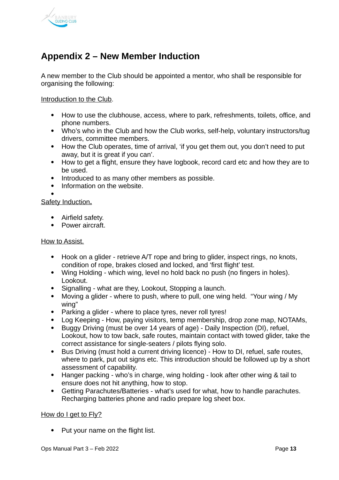

## <span id="page-12-0"></span>**Appendix 2 – New Member Induction**

A new member to the Club should be appointed a mentor, who shall be responsible for organising the following:

Introduction to the Club.

- How to use the clubhouse, access, where to park, refreshments, toilets, office, and phone numbers.
- Who's who in the Club and how the Club works, self-help, voluntary instructors/tug drivers, committee members.
- How the Club operates, time of arrival, 'if you get them out, you don't need to put away, but it is great if you can'.
- How to get a flight, ensure they have logbook, record card etc and how they are to be used.
- Introduced to as many other members as possible.
- Information on the website.  $\bullet$

Safety Induction**.**

- Airfield safety.
- Power aircraft.

#### How to Assist.

- Hook on a glider retrieve A/T rope and bring to glider, inspect rings, no knots, condition of rope, brakes closed and locked, and 'first flight' test.
- Wing Holding which wing, level no hold back no push (no fingers in holes). Lookout.
- Signalling what are they, Lookout, Stopping a launch.
- Moving a glider where to push, where to pull, one wing held. "Your wing / My wing"
- Parking a glider where to place tyres, never roll tyres!
- Log Keeping How, paying visitors, temp membership, drop zone map, NOTAMs,
- Buggy Driving (must be over 14 years of age) Daily Inspection (DI), refuel, Lookout, how to tow back, safe routes, maintain contact with towed glider, take the correct assistance for single-seaters / pilots flying solo.
- Bus Driving (must hold a current driving licence) How to DI, refuel, safe routes, where to park, put out signs etc. This introduction should be followed up by a short assessment of capability.
- Hanger packing who's in charge, wing holding look after other wing & tail to ensure does not hit anything, how to stop.
- Getting Parachutes/Batteries what's used for what, how to handle parachutes. Recharging batteries phone and radio prepare log sheet box.

#### How do I get to Fly?

• Put your name on the flight list.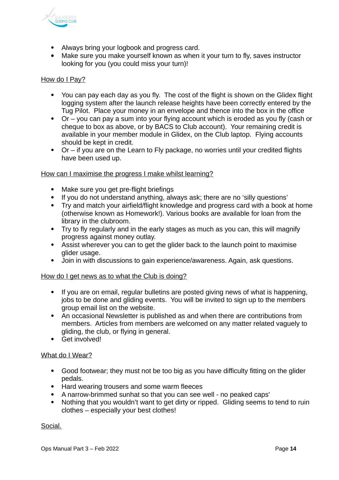

- Always bring your logbook and progress card.
- Make sure you make yourself known as when it your turn to fly, saves instructor looking for you (you could miss your turn)!

#### How do I Pay?

- You can pay each day as you fly. The cost of the flight is shown on the Glidex flight logging system after the launch release heights have been correctly entered by the Tug Pilot. Place your money in an envelope and thence into the box in the office
- Or you can pay a sum into your flying account which is eroded as you fly (cash or cheque to box as above, or by BACS to Club account). Your remaining credit is available in your member module in Glidex, on the Club laptop. Flying accounts should be kept in credit.
- Or if you are on the Learn to Fly package, no worries until your credited flights have been used up.

#### How can I maximise the progress I make whilst learning?

- Make sure you get pre-flight briefings
- If you do not understand anything, always ask; there are no 'silly questions'
- Try and match your airfield/flight knowledge and progress card with a book at home (otherwise known as Homework!). Various books are available for loan from the library in the clubroom.
- Try to fly regularly and in the early stages as much as you can, this will magnify progress against money outlay.
- Assist wherever you can to get the glider back to the launch point to maximise glider usage.
- Join in with discussions to gain experience/awareness. Again, ask questions.

#### How do I get news as to what the Club is doing?

- If you are on email, regular bulletins are posted giving news of what is happening, jobs to be done and gliding events. You will be invited to sign up to the members group email list on the website.
- An occasional Newsletter is published as and when there are contributions from members. Articles from members are welcomed on any matter related vaguely to gliding, the club, or flying in general.
- Get involved!

#### What do I Wear?

- Good footwear; they must not be too big as you have difficulty fitting on the glider pedals.
- Hard wearing trousers and some warm fleeces
- A narrow-brimmed sunhat so that you can see well no peaked caps'
- Nothing that you wouldn't want to get dirty or ripped. Gliding seems to tend to ruin clothes – especially your best clothes!

Social.